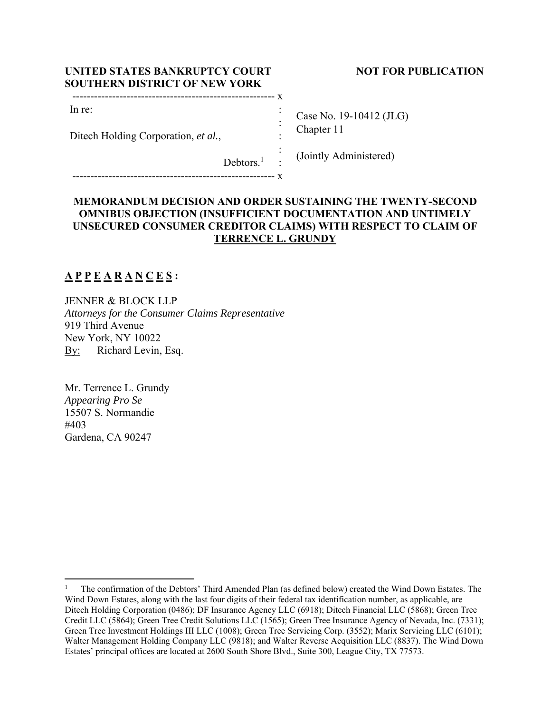| UNITED STATES BANKRUPTCY COURT       |
|--------------------------------------|
| <b>SOUTHERN DISTRICT OF NEW YORK</b> |
|                                      |

### In re:

Ditech Holding Corporation, *et al.*,

**NOT FOR PUBLICATION** 

Case No. 19-10412 (JLG) Chapter 11

(Jointly Administered)

Debtors.<sup>1</sup> :

-------------------------------------------------------- x

# **MEMORANDUM DECISION AND ORDER SUSTAINING THE TWENTY-SECOND OMNIBUS OBJECTION (INSUFFICIENT DOCUMENTATION AND UNTIMELY UNSECURED CONSUMER CREDITOR CLAIMS) WITH RESPECT TO CLAIM OF TERRENCE L. GRUNDY**

 : : : :

# **A P P E A R A N C E S :**

JENNER & BLOCK LLP *Attorneys for the Consumer Claims Representative*  919 Third Avenue New York, NY 10022 By: Richard Levin, Esq.

Mr. Terrence L. Grundy *Appearing Pro Se*  15507 S. Normandie #403 Gardena, CA 90247

<sup>1</sup> The confirmation of the Debtors' Third Amended Plan (as defined below) created the Wind Down Estates. The Wind Down Estates, along with the last four digits of their federal tax identification number, as applicable, are Ditech Holding Corporation (0486); DF Insurance Agency LLC (6918); Ditech Financial LLC (5868); Green Tree Credit LLC (5864); Green Tree Credit Solutions LLC (1565); Green Tree Insurance Agency of Nevada, Inc. (7331); Green Tree Investment Holdings III LLC (1008); Green Tree Servicing Corp. (3552); Marix Servicing LLC (6101); Walter Management Holding Company LLC (9818); and Walter Reverse Acquisition LLC (8837). The Wind Down Estates' principal offices are located at 2600 South Shore Blvd., Suite 300, League City, TX 77573.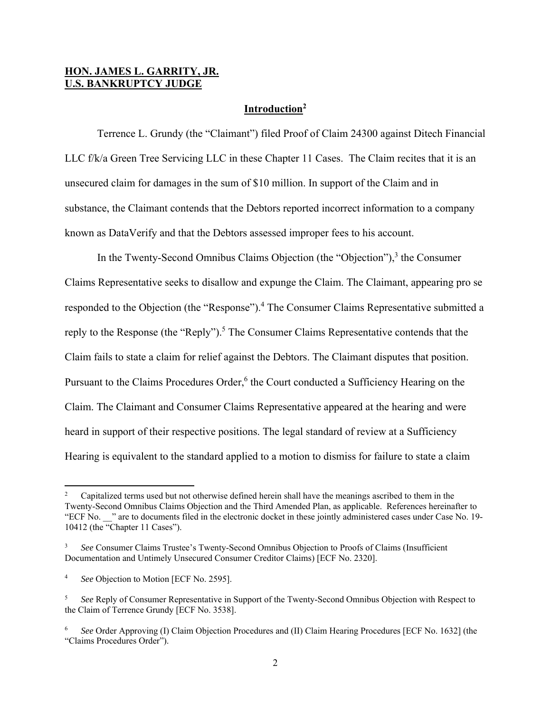### **HON. JAMES L. GARRITY, JR. U.S. BANKRUPTCY JUDGE**

### **Introduction2**

 Terrence L. Grundy (the "Claimant") filed Proof of Claim 24300 against Ditech Financial LLC f/k/a Green Tree Servicing LLC in these Chapter 11 Cases. The Claim recites that it is an unsecured claim for damages in the sum of \$10 million. In support of the Claim and in substance, the Claimant contends that the Debtors reported incorrect information to a company known as DataVerify and that the Debtors assessed improper fees to his account.

In the Twenty-Second Omnibus Claims Objection (the "Objection"),<sup>3</sup> the Consumer Claims Representative seeks to disallow and expunge the Claim. The Claimant, appearing pro se responded to the Objection (the "Response").<sup>4</sup> The Consumer Claims Representative submitted a reply to the Response (the "Reply").<sup>5</sup> The Consumer Claims Representative contends that the Claim fails to state a claim for relief against the Debtors. The Claimant disputes that position. Pursuant to the Claims Procedures Order,<sup>6</sup> the Court conducted a Sufficiency Hearing on the Claim. The Claimant and Consumer Claims Representative appeared at the hearing and were heard in support of their respective positions. The legal standard of review at a Sufficiency Hearing is equivalent to the standard applied to a motion to dismiss for failure to state a claim

<sup>2</sup> Capitalized terms used but not otherwise defined herein shall have the meanings ascribed to them in the Twenty-Second Omnibus Claims Objection and the Third Amended Plan, as applicable. References hereinafter to "ECF No. \_\_" are to documents filed in the electronic docket in these jointly administered cases under Case No. 19- 10412 (the "Chapter 11 Cases").

<sup>3</sup> *See* Consumer Claims Trustee's Twenty-Second Omnibus Objection to Proofs of Claims (Insufficient Documentation and Untimely Unsecured Consumer Creditor Claims) [ECF No. 2320].

<sup>4</sup> *See* Objection to Motion [ECF No. 2595].

<sup>5</sup> *See* Reply of Consumer Representative in Support of the Twenty-Second Omnibus Objection with Respect to the Claim of Terrence Grundy [ECF No. 3538].

<sup>6</sup> *See* Order Approving (I) Claim Objection Procedures and (II) Claim Hearing Procedures [ECF No. 1632] (the "Claims Procedures Order").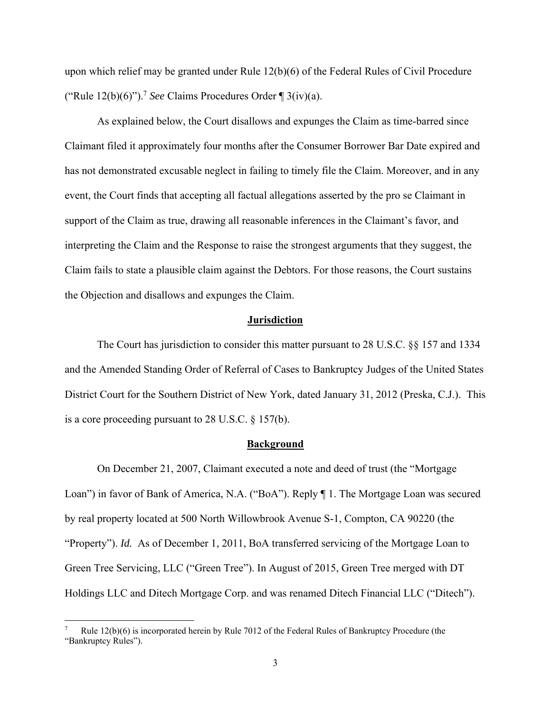upon which relief may be granted under Rule 12(b)(6) of the Federal Rules of Civil Procedure ("Rule  $12(b)(6)$ ").<sup>7</sup> *See* Claims Procedures Order  $\mathcal{B}(iv)(a)$ .

As explained below, the Court disallows and expunges the Claim as time-barred since Claimant filed it approximately four months after the Consumer Borrower Bar Date expired and has not demonstrated excusable neglect in failing to timely file the Claim. Moreover, and in any event, the Court finds that accepting all factual allegations asserted by the pro se Claimant in support of the Claim as true, drawing all reasonable inferences in the Claimant's favor, and interpreting the Claim and the Response to raise the strongest arguments that they suggest, the Claim fails to state a plausible claim against the Debtors. For those reasons, the Court sustains the Objection and disallows and expunges the Claim.

#### **Jurisdiction**

 The Court has jurisdiction to consider this matter pursuant to 28 U.S.C. §§ 157 and 1334 and the Amended Standing Order of Referral of Cases to Bankruptcy Judges of the United States District Court for the Southern District of New York, dated January 31, 2012 (Preska, C.J.). This is a core proceeding pursuant to 28 U.S.C. § 157(b).

#### **Background**

 On December 21, 2007, Claimant executed a note and deed of trust (the "Mortgage Loan") in favor of Bank of America, N.A. ("BoA"). Reply ¶ 1. The Mortgage Loan was secured by real property located at 500 North Willowbrook Avenue S-1, Compton, CA 90220 (the "Property"). *Id.* As of December 1, 2011, BoA transferred servicing of the Mortgage Loan to Green Tree Servicing, LLC ("Green Tree"). In August of 2015, Green Tree merged with DT Holdings LLC and Ditech Mortgage Corp. and was renamed Ditech Financial LLC ("Ditech").

<sup>7</sup> Rule 12(b)(6) is incorporated herein by Rule 7012 of the Federal Rules of Bankruptcy Procedure (the "Bankruptcy Rules").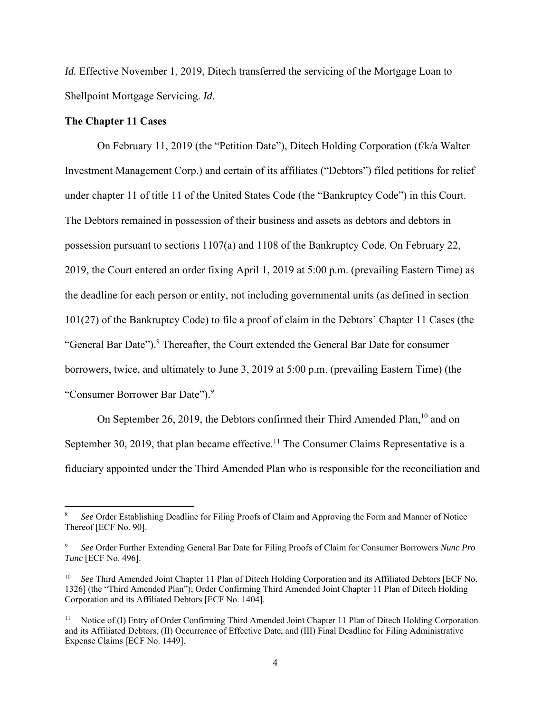*Id.* Effective November 1, 2019, Ditech transferred the servicing of the Mortgage Loan to Shellpoint Mortgage Servicing. *Id.* 

### **The Chapter 11 Cases**

 On February 11, 2019 (the "Petition Date"), Ditech Holding Corporation (f/k/a Walter Investment Management Corp.) and certain of its affiliates ("Debtors") filed petitions for relief under chapter 11 of title 11 of the United States Code (the "Bankruptcy Code") in this Court. The Debtors remained in possession of their business and assets as debtors and debtors in possession pursuant to sections 1107(a) and 1108 of the Bankruptcy Code. On February 22, 2019, the Court entered an order fixing April 1, 2019 at 5:00 p.m. (prevailing Eastern Time) as the deadline for each person or entity, not including governmental units (as defined in section 101(27) of the Bankruptcy Code) to file a proof of claim in the Debtors' Chapter 11 Cases (the "General Bar Date").<sup>8</sup> Thereafter, the Court extended the General Bar Date for consumer borrowers, twice, and ultimately to June 3, 2019 at 5:00 p.m. (prevailing Eastern Time) (the "Consumer Borrower Bar Date").<sup>9</sup>

On September 26, 2019, the Debtors confirmed their Third Amended Plan,  $^{10}$  and on September 30, 2019, that plan became effective.<sup>11</sup> The Consumer Claims Representative is a fiduciary appointed under the Third Amended Plan who is responsible for the reconciliation and

<sup>8</sup> *See* Order Establishing Deadline for Filing Proofs of Claim and Approving the Form and Manner of Notice Thereof [ECF No. 90].

<sup>9</sup> *See* Order Further Extending General Bar Date for Filing Proofs of Claim for Consumer Borrowers *Nunc Pro Tunc* [ECF No. 496].

See Third Amended Joint Chapter 11 Plan of Ditech Holding Corporation and its Affiliated Debtors [ECF No. 1326] (the "Third Amended Plan"); Order Confirming Third Amended Joint Chapter 11 Plan of Ditech Holding Corporation and its Affiliated Debtors [ECF No. 1404].

<sup>&</sup>lt;sup>11</sup> Notice of (I) Entry of Order Confirming Third Amended Joint Chapter 11 Plan of Ditech Holding Corporation and its Affiliated Debtors, (II) Occurrence of Effective Date, and (III) Final Deadline for Filing Administrative Expense Claims [ECF No. 1449].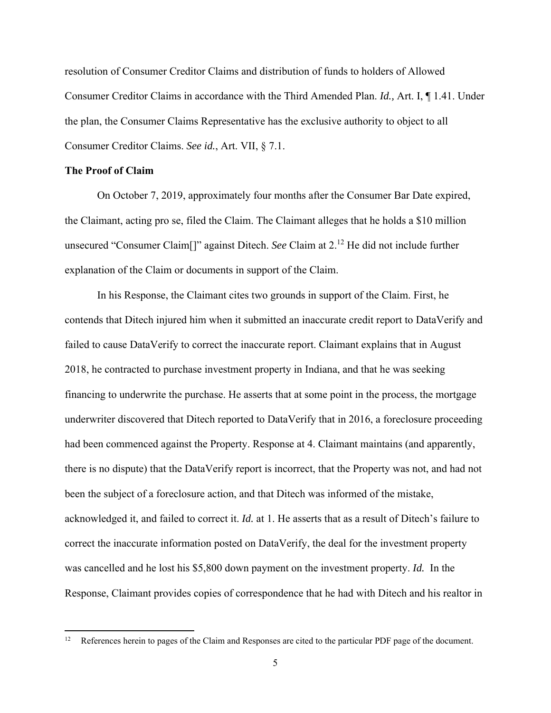resolution of Consumer Creditor Claims and distribution of funds to holders of Allowed Consumer Creditor Claims in accordance with the Third Amended Plan. *Id.,* Art. I, ¶ 1.41. Under the plan, the Consumer Claims Representative has the exclusive authority to object to all Consumer Creditor Claims. *See id.*, Art. VII, § 7.1.

### **The Proof of Claim**

 On October 7, 2019, approximately four months after the Consumer Bar Date expired, the Claimant, acting pro se, filed the Claim. The Claimant alleges that he holds a \$10 million unsecured "Consumer Claim[]" against Ditech. *See* Claim at 2.12 He did not include further explanation of the Claim or documents in support of the Claim.

 In his Response, the Claimant cites two grounds in support of the Claim. First, he contends that Ditech injured him when it submitted an inaccurate credit report to DataVerify and failed to cause DataVerify to correct the inaccurate report. Claimant explains that in August 2018, he contracted to purchase investment property in Indiana, and that he was seeking financing to underwrite the purchase. He asserts that at some point in the process, the mortgage underwriter discovered that Ditech reported to DataVerify that in 2016, a foreclosure proceeding had been commenced against the Property. Response at 4. Claimant maintains (and apparently, there is no dispute) that the DataVerify report is incorrect, that the Property was not, and had not been the subject of a foreclosure action, and that Ditech was informed of the mistake, acknowledged it, and failed to correct it. *Id.* at 1. He asserts that as a result of Ditech's failure to correct the inaccurate information posted on DataVerify, the deal for the investment property was cancelled and he lost his \$5,800 down payment on the investment property. *Id.* In the Response, Claimant provides copies of correspondence that he had with Ditech and his realtor in

<sup>12</sup> References herein to pages of the Claim and Responses are cited to the particular PDF page of the document.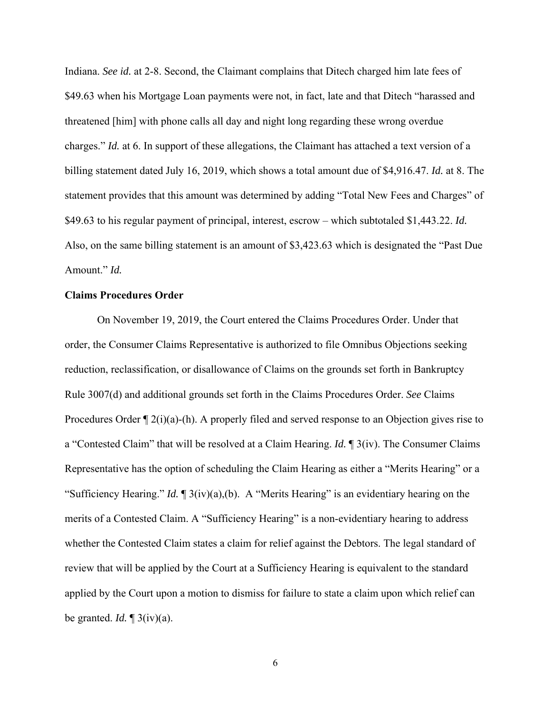Indiana. *See id.* at 2-8. Second, the Claimant complains that Ditech charged him late fees of \$49.63 when his Mortgage Loan payments were not, in fact, late and that Ditech "harassed and threatened [him] with phone calls all day and night long regarding these wrong overdue charges." *Id.* at 6. In support of these allegations, the Claimant has attached a text version of a billing statement dated July 16, 2019, which shows a total amount due of \$4,916.47. *Id.* at 8. The statement provides that this amount was determined by adding "Total New Fees and Charges" of \$49.63 to his regular payment of principal, interest, escrow – which subtotaled \$1,443.22. *Id.* Also, on the same billing statement is an amount of \$3,423.63 which is designated the "Past Due Amount." *Id.* 

### **Claims Procedures Order**

 On November 19, 2019, the Court entered the Claims Procedures Order. Under that order, the Consumer Claims Representative is authorized to file Omnibus Objections seeking reduction, reclassification, or disallowance of Claims on the grounds set forth in Bankruptcy Rule 3007(d) and additional grounds set forth in the Claims Procedures Order. *See* Claims Procedures Order  $\P$  2(i)(a)-(h). A properly filed and served response to an Objection gives rise to a "Contested Claim" that will be resolved at a Claim Hearing. *Id.* ¶ 3(iv). The Consumer Claims Representative has the option of scheduling the Claim Hearing as either a "Merits Hearing" or a "Sufficiency Hearing." *Id.* ¶ 3(iv)(a),(b). A "Merits Hearing" is an evidentiary hearing on the merits of a Contested Claim. A "Sufficiency Hearing" is a non-evidentiary hearing to address whether the Contested Claim states a claim for relief against the Debtors. The legal standard of review that will be applied by the Court at a Sufficiency Hearing is equivalent to the standard applied by the Court upon a motion to dismiss for failure to state a claim upon which relief can be granted. *Id.* ¶ 3(iv)(a).

6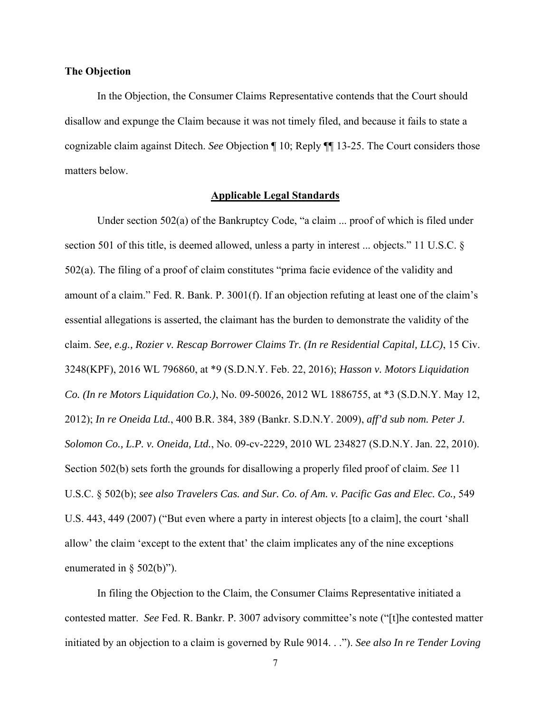### **The Objection**

 In the Objection, the Consumer Claims Representative contends that the Court should disallow and expunge the Claim because it was not timely filed, and because it fails to state a cognizable claim against Ditech. *See* Objection ¶ 10; Reply ¶¶ 13-25. The Court considers those matters below.

### **Applicable Legal Standards**

 Under section 502(a) of the Bankruptcy Code, "a claim ... proof of which is filed under section 501 of this title, is deemed allowed, unless a party in interest ... objects." 11 U.S.C. § 502(a). The filing of a proof of claim constitutes "prima facie evidence of the validity and amount of a claim." Fed. R. Bank. P. 3001(f). If an objection refuting at least one of the claim's essential allegations is asserted, the claimant has the burden to demonstrate the validity of the claim. *See, e.g., Rozier v. Rescap Borrower Claims Tr. (In re Residential Capital, LLC)*, 15 Civ. 3248(KPF), 2016 WL 796860, at \*9 (S.D.N.Y. Feb. 22, 2016); *Hasson v. Motors Liquidation Co. (In re Motors Liquidation Co.)*, No. 09-50026, 2012 WL 1886755, at \*3 (S.D.N.Y. May 12, 2012); *In re Oneida Ltd.*, 400 B.R. 384, 389 (Bankr. S.D.N.Y. 2009), *aff'd sub nom. Peter J. Solomon Co., L.P. v. Oneida, Ltd.*, No. 09-cv-2229, 2010 WL 234827 (S.D.N.Y. Jan. 22, 2010). Section 502(b) sets forth the grounds for disallowing a properly filed proof of claim. *See* 11 U.S.C. § 502(b); *see also Travelers Cas. and Sur. Co. of Am. v. Pacific Gas and Elec. Co.,* 549 U.S. 443, 449 (2007) ("But even where a party in interest objects [to a claim], the court 'shall allow' the claim 'except to the extent that' the claim implicates any of the nine exceptions enumerated in  $\S$  502(b)").

 In filing the Objection to the Claim, the Consumer Claims Representative initiated a contested matter. *See* Fed. R. Bankr. P. 3007 advisory committee's note ("[t]he contested matter initiated by an objection to a claim is governed by Rule 9014. . ."). *See also In re Tender Loving*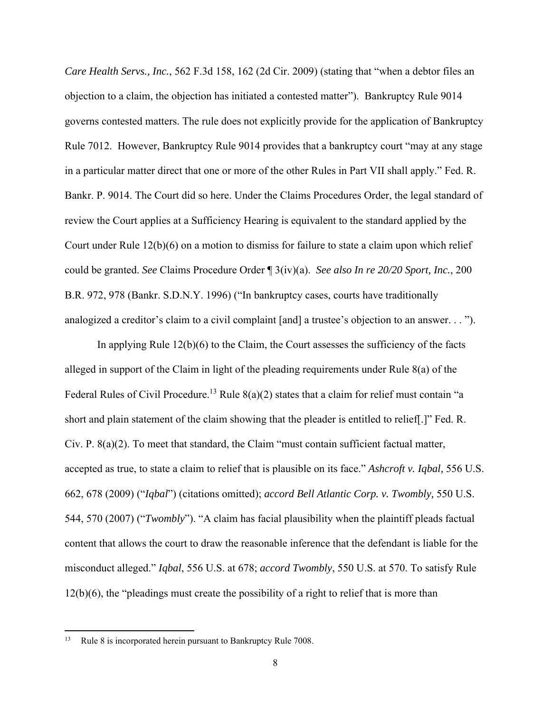*Care Health Servs., Inc.*, 562 F.3d 158, 162 (2d Cir. 2009) (stating that "when a debtor files an objection to a claim, the objection has initiated a contested matter"). Bankruptcy Rule 9014 governs contested matters. The rule does not explicitly provide for the application of Bankruptcy Rule 7012. However, Bankruptcy Rule 9014 provides that a bankruptcy court "may at any stage in a particular matter direct that one or more of the other Rules in Part VII shall apply." Fed. R. Bankr. P. 9014. The Court did so here. Under the Claims Procedures Order, the legal standard of review the Court applies at a Sufficiency Hearing is equivalent to the standard applied by the Court under Rule 12(b)(6) on a motion to dismiss for failure to state a claim upon which relief could be granted. *See* Claims Procedure Order ¶ 3(iv)(a). *See also In re 20/20 Sport, Inc.*, 200 B.R. 972, 978 (Bankr. S.D.N.Y. 1996) ("In bankruptcy cases, courts have traditionally analogized a creditor's claim to a civil complaint [and] a trustee's objection to an answer. . . ").

 In applying Rule 12(b)(6) to the Claim, the Court assesses the sufficiency of the facts alleged in support of the Claim in light of the pleading requirements under Rule 8(a) of the Federal Rules of Civil Procedure.<sup>13</sup> Rule 8(a)(2) states that a claim for relief must contain "a short and plain statement of the claim showing that the pleader is entitled to relief[.]" Fed. R. Civ. P. 8(a)(2). To meet that standard, the Claim "must contain sufficient factual matter, accepted as true, to state a claim to relief that is plausible on its face." *Ashcroft v. Iqbal,* 556 U.S. 662, 678 (2009) ("*Iqbal*") (citations omitted); *accord Bell Atlantic Corp. v. Twombly,* 550 U.S. 544, 570 (2007) ("*Twombly*"). "A claim has facial plausibility when the plaintiff pleads factual content that allows the court to draw the reasonable inference that the defendant is liable for the misconduct alleged." *Iqbal*, 556 U.S. at 678; *accord Twombly*, 550 U.S. at 570. To satisfy Rule 12(b)(6), the "pleadings must create the possibility of a right to relief that is more than

Rule 8 is incorporated herein pursuant to Bankruptcy Rule 7008.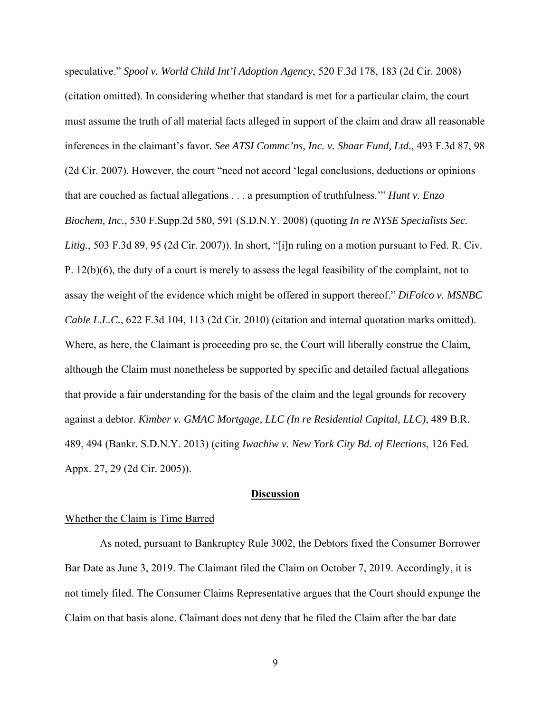speculative." *Spool v. World Child Int'l Adoption Agency*, 520 F.3d 178, 183 (2d Cir. 2008) (citation omitted). In considering whether that standard is met for a particular claim, the court must assume the truth of all material facts alleged in support of the claim and draw all reasonable inferences in the claimant's favor. *See ATSI Commc'ns, Inc. v. Shaar Fund, Ltd.*, 493 F.3d 87, 98 (2d Cir. 2007). However, the court "need not accord 'legal conclusions, deductions or opinions that are couched as factual allegations . . . a presumption of truthfulness.'" *Hunt v. Enzo Biochem, Inc.*, 530 F.Supp.2d 580, 591 (S.D.N.Y. 2008) (quoting *In re NYSE Specialists Sec. Litig.*, 503 F.3d 89, 95 (2d Cir. 2007)). In short, "[i]n ruling on a motion pursuant to Fed. R. Civ. P. 12(b)(6), the duty of a court is merely to assess the legal feasibility of the complaint, not to assay the weight of the evidence which might be offered in support thereof." *DiFolco v. MSNBC Cable L.L.C.*, 622 F.3d 104, 113 (2d Cir. 2010) (citation and internal quotation marks omitted). Where, as here, the Claimant is proceeding pro se, the Court will liberally construe the Claim, although the Claim must nonetheless be supported by specific and detailed factual allegations that provide a fair understanding for the basis of the claim and the legal grounds for recovery against a debtor. *Kimber v. GMAC Mortgage, LLC (In re Residential Capital, LLC)*, 489 B.R. 489, 494 (Bankr. S.D.N.Y. 2013) (citing *Iwachiw v. New York City Bd. of Elections*, 126 Fed. Appx. 27, 29 (2d Cir. 2005)).

#### **Discussion**

#### Whether the Claim is Time Barred

 As noted, pursuant to Bankruptcy Rule 3002, the Debtors fixed the Consumer Borrower Bar Date as June 3, 2019. The Claimant filed the Claim on October 7, 2019. Accordingly, it is not timely filed. The Consumer Claims Representative argues that the Court should expunge the Claim on that basis alone. Claimant does not deny that he filed the Claim after the bar date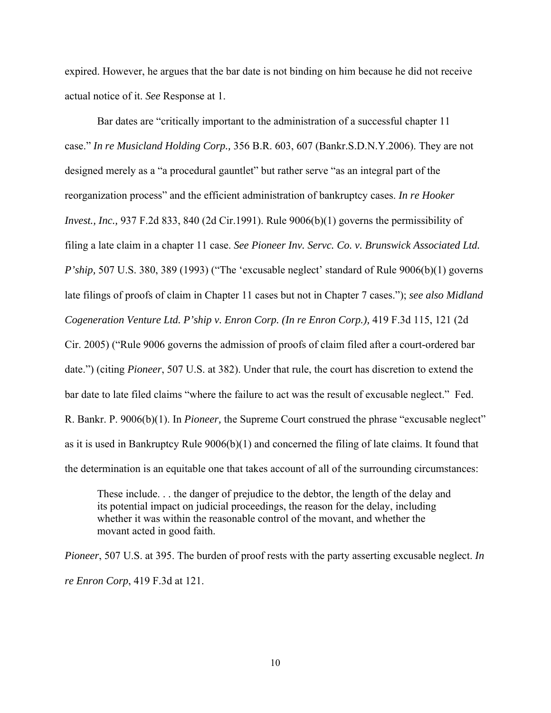expired. However, he argues that the bar date is not binding on him because he did not receive actual notice of it. *See* Response at 1.

 Bar dates are "critically important to the administration of a successful chapter 11 case." *In re Musicland Holding Corp.,* 356 B.R. 603, 607 (Bankr.S.D.N.Y.2006). They are not designed merely as a "a procedural gauntlet" but rather serve "as an integral part of the reorganization process" and the efficient administration of bankruptcy cases. *In re Hooker Invest., Inc.,* 937 F.2d 833, 840 (2d Cir.1991). Rule 9006(b)(1) governs the permissibility of filing a late claim in a chapter 11 case. *See Pioneer Inv. Servc. Co. v. Brunswick Associated Ltd. P'ship,* 507 U.S. 380, 389 (1993) ("The 'excusable neglect' standard of Rule 9006(b)(1) governs late filings of proofs of claim in Chapter 11 cases but not in Chapter 7 cases."); *see also Midland Cogeneration Venture Ltd. P'ship v. Enron Corp. (In re Enron Corp.),* 419 F.3d 115, 121 (2d Cir. 2005) ("Rule 9006 governs the admission of proofs of claim filed after a court-ordered bar date.") (citing *Pioneer*, 507 U.S. at 382). Under that rule, the court has discretion to extend the bar date to late filed claims "where the failure to act was the result of excusable neglect." Fed. R. Bankr. P. 9006(b)(1). In *Pioneer,* the Supreme Court construed the phrase "excusable neglect" as it is used in Bankruptcy Rule 9006(b)(1) and concerned the filing of late claims. It found that the determination is an equitable one that takes account of all of the surrounding circumstances:

These include. . . the danger of prejudice to the debtor, the length of the delay and its potential impact on judicial proceedings, the reason for the delay, including whether it was within the reasonable control of the movant, and whether the movant acted in good faith.

*Pioneer*, 507 U.S. at 395. The burden of proof rests with the party asserting excusable neglect. *In re Enron Corp*, 419 F.3d at 121.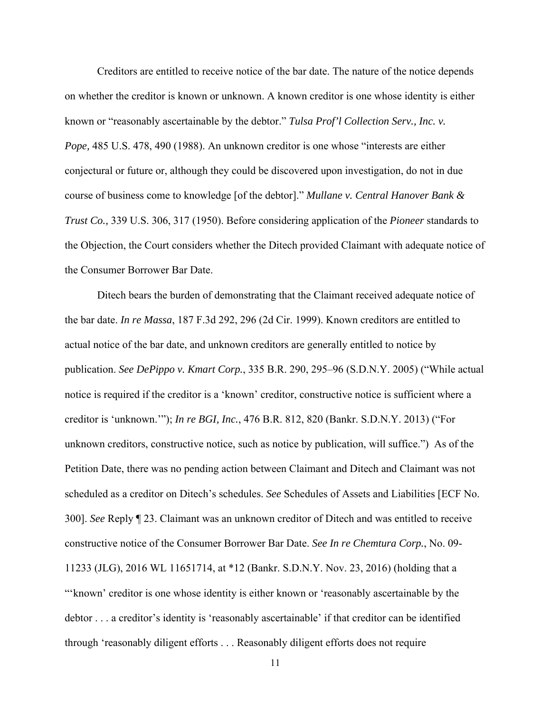Creditors are entitled to receive notice of the bar date. The nature of the notice depends on whether the creditor is known or unknown. A known creditor is one whose identity is either known or "reasonably ascertainable by the debtor." *Tulsa Prof'l Collection Serv., Inc. v. Pope,* 485 U.S. 478, 490 (1988). An unknown creditor is one whose "interests are either conjectural or future or, although they could be discovered upon investigation, do not in due course of business come to knowledge [of the debtor]." *Mullane v. Central Hanover Bank & Trust Co.,* 339 U.S. 306, 317 (1950). Before considering application of the *Pioneer* standards to the Objection, the Court considers whether the Ditech provided Claimant with adequate notice of the Consumer Borrower Bar Date.

 Ditech bears the burden of demonstrating that the Claimant received adequate notice of the bar date. *In re Massa*, 187 F.3d 292, 296 (2d Cir. 1999). Known creditors are entitled to actual notice of the bar date, and unknown creditors are generally entitled to notice by publication. *See DePippo v. Kmart Corp.*, 335 B.R. 290, 295–96 (S.D.N.Y. 2005) ("While actual notice is required if the creditor is a 'known' creditor, constructive notice is sufficient where a creditor is 'unknown.'"); *In re BGI, Inc.*, 476 B.R. 812, 820 (Bankr. S.D.N.Y. 2013) ("For unknown creditors, constructive notice, such as notice by publication, will suffice.") As of the Petition Date, there was no pending action between Claimant and Ditech and Claimant was not scheduled as a creditor on Ditech's schedules. *See* Schedules of Assets and Liabilities [ECF No. 300]. *See* Reply ¶ 23. Claimant was an unknown creditor of Ditech and was entitled to receive constructive notice of the Consumer Borrower Bar Date. *See In re Chemtura Corp.*, No. 09- 11233 (JLG), 2016 WL 11651714, at \*12 (Bankr. S.D.N.Y. Nov. 23, 2016) (holding that a "'known' creditor is one whose identity is either known or 'reasonably ascertainable by the debtor . . . a creditor's identity is 'reasonably ascertainable' if that creditor can be identified through 'reasonably diligent efforts . . . Reasonably diligent efforts does not require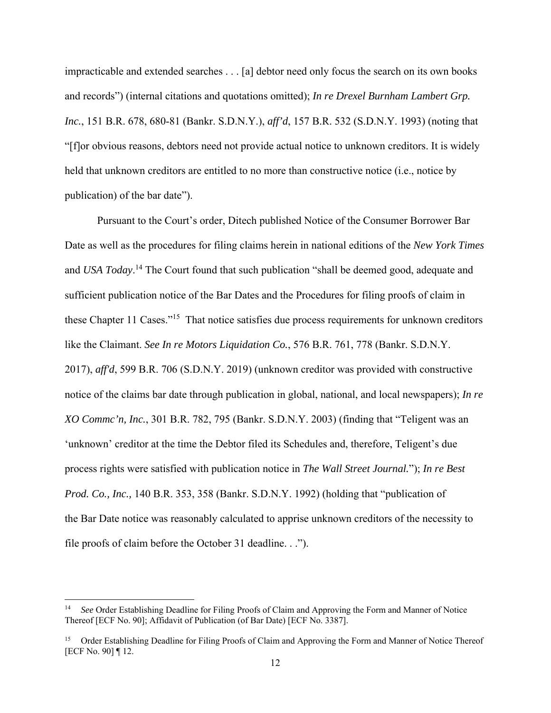impracticable and extended searches . . . [a] debtor need only focus the search on its own books and records") (internal citations and quotations omitted); *In re Drexel Burnham Lambert Grp. Inc.*, 151 B.R. 678, 680-81 (Bankr. S.D.N.Y.), *aff'd*, 157 B.R. 532 (S.D.N.Y. 1993) (noting that "[f]or obvious reasons, debtors need not provide actual notice to unknown creditors. It is widely held that unknown creditors are entitled to no more than constructive notice (i.e., notice by publication) of the bar date").

 Pursuant to the Court's order, Ditech published Notice of the Consumer Borrower Bar Date as well as the procedures for filing claims herein in national editions of the *New York Times* and *USA Today*. 14 The Court found that such publication "shall be deemed good, adequate and sufficient publication notice of the Bar Dates and the Procedures for filing proofs of claim in these Chapter 11 Cases."<sup>15</sup> That notice satisfies due process requirements for unknown creditors like the Claimant. *See In re Motors Liquidation Co.*, 576 B.R. 761, 778 (Bankr. S.D.N.Y. 2017), *aff'd*, 599 B.R. 706 (S.D.N.Y. 2019) (unknown creditor was provided with constructive notice of the claims bar date through publication in global, national, and local newspapers); *In re XO Commc'n, Inc.*, 301 B.R. 782, 795 (Bankr. S.D.N.Y. 2003) (finding that "Teligent was an 'unknown' creditor at the time the Debtor filed its Schedules and, therefore, Teligent's due process rights were satisfied with publication notice in *The Wall Street Journal.*"); *In re Best Prod. Co., Inc.,* 140 B.R. 353, 358 (Bankr. S.D.N.Y. 1992) (holding that "publication of the Bar Date notice was reasonably calculated to apprise unknown creditors of the necessity to file proofs of claim before the October 31 deadline. . .").

See Order Establishing Deadline for Filing Proofs of Claim and Approving the Form and Manner of Notice Thereof [ECF No. 90]; Affidavit of Publication (of Bar Date) [ECF No. 3387].

<sup>&</sup>lt;sup>15</sup> Order Establishing Deadline for Filing Proofs of Claim and Approving the Form and Manner of Notice Thereof [ECF No. 90] ¶ 12.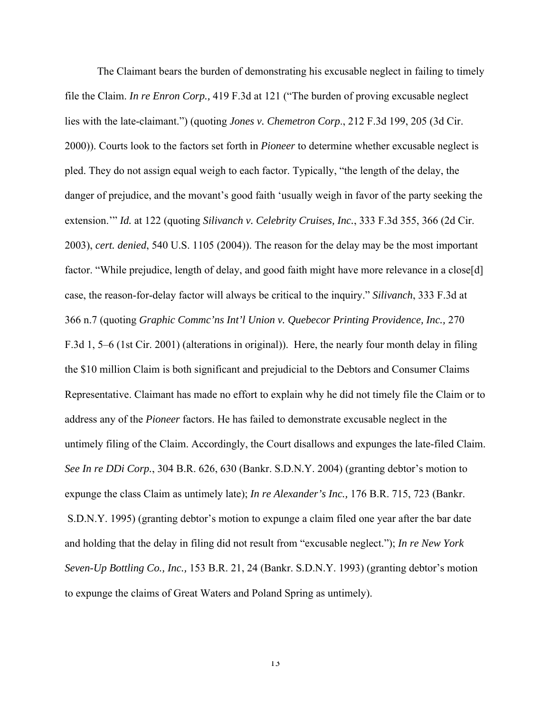The Claimant bears the burden of demonstrating his excusable neglect in failing to timely file the Claim. *In re Enron Corp.,* 419 F.3d at 121 ("The burden of proving excusable neglect lies with the late-claimant.") (quoting *Jones v. Chemetron Corp*., 212 F.3d 199, 205 (3d Cir. 2000)). Courts look to the factors set forth in *Pioneer* to determine whether excusable neglect is pled. They do not assign equal weigh to each factor. Typically, "the length of the delay, the danger of prejudice, and the movant's good faith 'usually weigh in favor of the party seeking the extension.'" *Id.* at 122 (quoting *Silivanch v. Celebrity Cruises, Inc.*, 333 F.3d 355, 366 (2d Cir. 2003), *cert. denied*, 540 U.S. 1105 (2004)). The reason for the delay may be the most important factor. "While prejudice, length of delay, and good faith might have more relevance in a close[d] case, the reason-for-delay factor will always be critical to the inquiry." *Silivanch*, 333 F.3d at 366 n.7 (quoting *Graphic Commc'ns Int'l Union v. Quebecor Printing Providence, Inc.,* 270 F.3d 1, 5–6 (1st Cir. 2001) (alterations in original)). Here, the nearly four month delay in filing the \$10 million Claim is both significant and prejudicial to the Debtors and Consumer Claims Representative. Claimant has made no effort to explain why he did not timely file the Claim or to address any of the *Pioneer* factors. He has failed to demonstrate excusable neglect in the untimely filing of the Claim. Accordingly, the Court disallows and expunges the late-filed Claim. *See In re DDi Corp.*, 304 B.R. 626, 630 (Bankr. S.D.N.Y. 2004) (granting debtor's motion to expunge the class Claim as untimely late); *In re Alexander's Inc.,* 176 B.R. 715, 723 (Bankr. S.D.N.Y. 1995) (granting debtor's motion to expunge a claim filed one year after the bar date and holding that the delay in filing did not result from "excusable neglect."); *In re New York Seven-Up Bottling Co., Inc.,* 153 B.R. 21, 24 (Bankr. S.D.N.Y. 1993) (granting debtor's motion to expunge the claims of Great Waters and Poland Spring as untimely).

13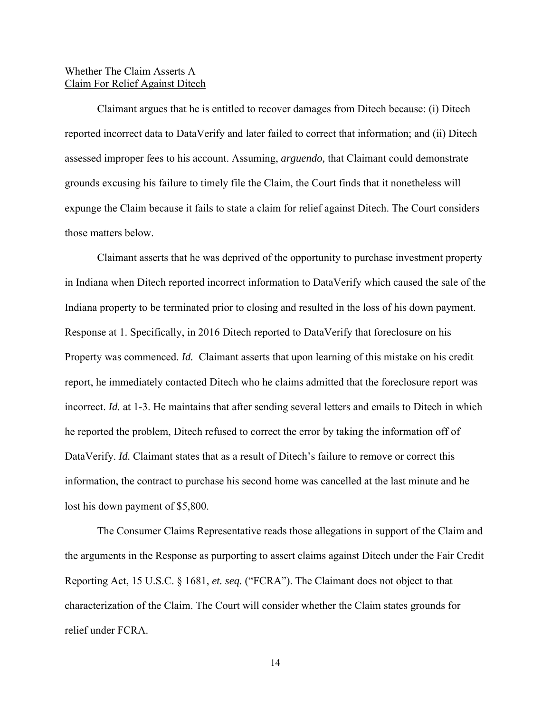## Whether The Claim Asserts A Claim For Relief Against Ditech

 Claimant argues that he is entitled to recover damages from Ditech because: (i) Ditech reported incorrect data to DataVerify and later failed to correct that information; and (ii) Ditech assessed improper fees to his account. Assuming, *arguendo,* that Claimant could demonstrate grounds excusing his failure to timely file the Claim, the Court finds that it nonetheless will expunge the Claim because it fails to state a claim for relief against Ditech. The Court considers those matters below.

Claimant asserts that he was deprived of the opportunity to purchase investment property in Indiana when Ditech reported incorrect information to DataVerify which caused the sale of the Indiana property to be terminated prior to closing and resulted in the loss of his down payment. Response at 1. Specifically, in 2016 Ditech reported to DataVerify that foreclosure on his Property was commenced. *Id.* Claimant asserts that upon learning of this mistake on his credit report, he immediately contacted Ditech who he claims admitted that the foreclosure report was incorrect. *Id.* at 1-3. He maintains that after sending several letters and emails to Ditech in which he reported the problem, Ditech refused to correct the error by taking the information off of DataVerify. *Id.* Claimant states that as a result of Ditech's failure to remove or correct this information, the contract to purchase his second home was cancelled at the last minute and he lost his down payment of \$5,800.

The Consumer Claims Representative reads those allegations in support of the Claim and the arguments in the Response as purporting to assert claims against Ditech under the Fair Credit Reporting Act, 15 U.S.C. § 1681, *et. seq.* ("FCRA"). The Claimant does not object to that characterization of the Claim. The Court will consider whether the Claim states grounds for relief under FCRA.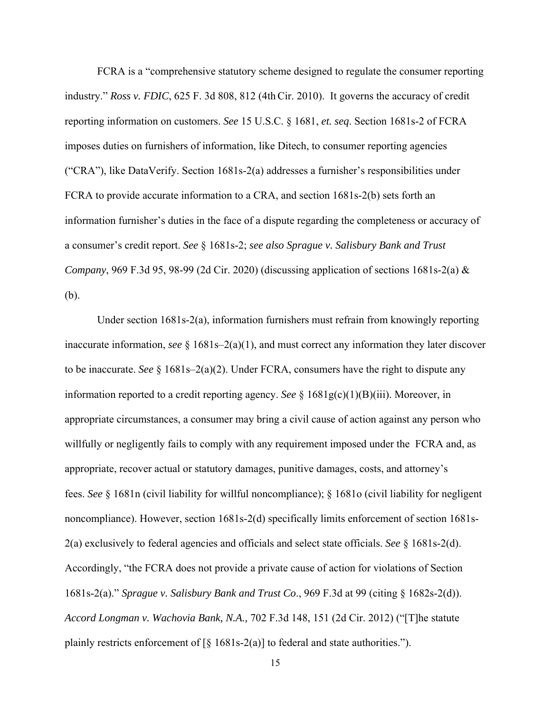FCRA is a "comprehensive statutory scheme designed to regulate the consumer reporting industry." *Ross v. FDIC*, 625 F. 3d 808, 812 (4thCir. 2010). It governs the accuracy of credit reporting information on customers. *See* 15 U.S.C. § 1681, *et. seq*. Section 1681s-2 of FCRA imposes duties on furnishers of information, like Ditech, to consumer reporting agencies ("CRA"), like DataVerify. Section 1681s-2(a) addresses a furnisher's responsibilities under FCRA to provide accurate information to a CRA, and section 1681s-2(b) sets forth an information furnisher's duties in the face of a dispute regarding the completeness or accuracy of a consumer's credit report. *See* § 1681s-2; *see also Sprague v. Salisbury Bank and Trust Company*, 969 F.3d 95, 98-99 (2d Cir. 2020) (discussing application of sections 1681s-2(a) & (b).

Under section 1681s-2(a), information furnishers must refrain from knowingly reporting inaccurate information, *see* § 1681s–2(a)(1), and must correct any information they later discover to be inaccurate. *See* § 1681s–2(a)(2). Under FCRA, consumers have the right to dispute any information reported to a credit reporting agency. *See* § 1681g(c)(1)(B)(iii). Moreover, in appropriate circumstances, a consumer may bring a civil cause of action against any person who willfully or negligently fails to comply with any requirement imposed under the FCRA and, as appropriate, recover actual or statutory damages, punitive damages, costs, and attorney's fees. *See* § 1681n (civil liability for willful noncompliance); § 1681o (civil liability for negligent noncompliance). However, section 1681s-2(d) specifically limits enforcement of section 1681s-2(a) exclusively to federal agencies and officials and select state officials. *See* § 1681s-2(d). Accordingly, "the FCRA does not provide a private cause of action for violations of Section 1681s-2(a)." *Sprague v. Salisbury Bank and Trust Co*., 969 F.3d at 99 (citing § 1682s-2(d)). *Accord Longman v. Wachovia Bank, N.A.,* 702 F.3d 148, 151 (2d Cir. 2012) ("[T]he statute plainly restricts enforcement of  $\lceil \xi \rceil 681s-2(a)$  to federal and state authorities.").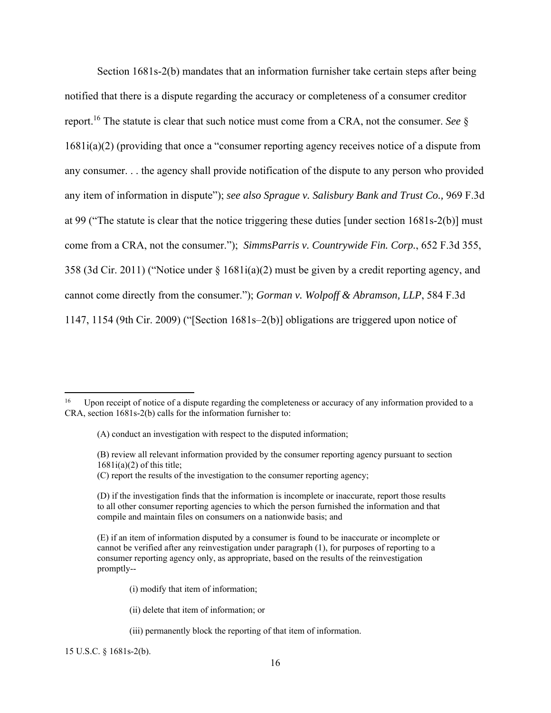Section 1681s-2(b) mandates that an information furnisher take certain steps after being notified that there is a dispute regarding the accuracy or completeness of a consumer creditor report.16 The statute is clear that such notice must come from a CRA, not the consumer. *See* § 1681i(a)(2) (providing that once a "consumer reporting agency receives notice of a dispute from any consumer. . . the agency shall provide notification of the dispute to any person who provided any item of information in dispute"); *see also Sprague v. Salisbury Bank and Trust Co.,* 969 F.3d at 99 ("The statute is clear that the notice triggering these duties [under section 1681s-2(b)] must come from a CRA, not the consumer."); *SimmsParris v. Countrywide Fin. Corp.*, 652 F.3d 355, 358 (3d Cir. 2011) ("Notice under § 1681i(a)(2) must be given by a credit reporting agency, and cannot come directly from the consumer."); *Gorman v. Wolpoff & Abramson, LLP*, 584 F.3d 1147, 1154 (9th Cir. 2009) ("[Section 1681s–2(b)] obligations are triggered upon notice of

(B) review all relevant information provided by the consumer reporting agency pursuant to section  $1681i(a)(2)$  of this title;

(C) report the results of the investigation to the consumer reporting agency;

- (i) modify that item of information;
- (ii) delete that item of information; or
- (iii) permanently block the reporting of that item of information.

15 U.S.C. § 1681s-2(b).

<sup>&</sup>lt;sup>16</sup> Upon receipt of notice of a dispute regarding the completeness or accuracy of any information provided to a CRA, section 1681s-2(b) calls for the information furnisher to:

<sup>(</sup>A) conduct an investigation with respect to the disputed information;

<sup>(</sup>D) if the investigation finds that the information is incomplete or inaccurate, report those results to all other consumer reporting agencies to which the person furnished the information and that compile and maintain files on consumers on a nationwide basis; and

<sup>(</sup>E) if an item of information disputed by a consumer is found to be inaccurate or incomplete or cannot be verified after any reinvestigation under paragraph (1), for purposes of reporting to a consumer reporting agency only, as appropriate, based on the results of the reinvestigation promptly--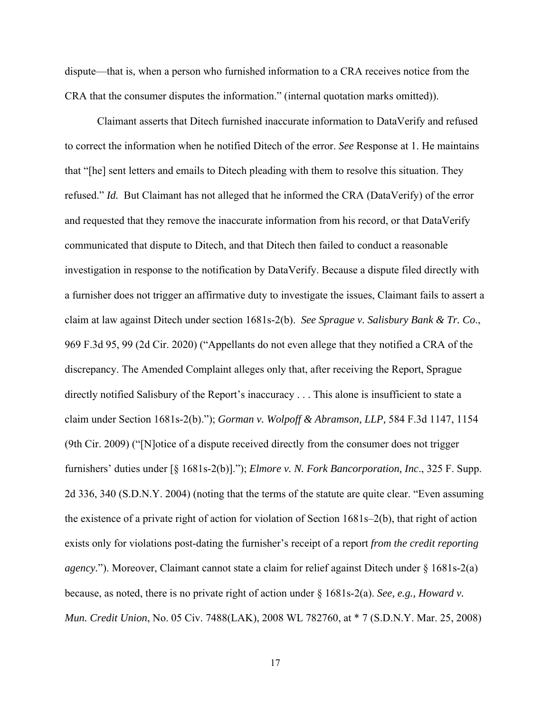dispute—that is, when a person who furnished information to a CRA receives notice from the CRA that the consumer disputes the information." (internal quotation marks omitted)).

 Claimant asserts that Ditech furnished inaccurate information to DataVerify and refused to correct the information when he notified Ditech of the error. *See* Response at 1. He maintains that "[he] sent letters and emails to Ditech pleading with them to resolve this situation. They refused." *Id.* But Claimant has not alleged that he informed the CRA (DataVerify) of the error and requested that they remove the inaccurate information from his record, or that DataVerify communicated that dispute to Ditech, and that Ditech then failed to conduct a reasonable investigation in response to the notification by DataVerify. Because a dispute filed directly with a furnisher does not trigger an affirmative duty to investigate the issues, Claimant fails to assert a claim at law against Ditech under section 1681s-2(b). *See Sprague v. Salisbury Bank & Tr. Co*., 969 F.3d 95, 99 (2d Cir. 2020) ("Appellants do not even allege that they notified a CRA of the discrepancy. The Amended Complaint alleges only that, after receiving the Report, Sprague directly notified Salisbury of the Report's inaccuracy . . . This alone is insufficient to state a claim under Section 1681s-2(b)."); *Gorman v. Wolpoff & Abramson, LLP,* 584 F.3d 1147, 1154 (9th Cir. 2009) ("[N]otice of a dispute received directly from the consumer does not trigger furnishers' duties under [§ 1681s-2(b)]."); *Elmore v. N. Fork Bancorporation, Inc*., 325 F. Supp. 2d 336, 340 (S.D.N.Y. 2004) (noting that the terms of the statute are quite clear. "Even assuming the existence of a private right of action for violation of Section 1681s–2(b), that right of action exists only for violations post-dating the furnisher's receipt of a report *from the credit reporting agency.*"). Moreover, Claimant cannot state a claim for relief against Ditech under § 1681s-2(a) because, as noted, there is no private right of action under § 1681s-2(a). *See, e.g., Howard v. Mun. Credit Union*, No. 05 Civ. 7488(LAK), 2008 WL 782760, at \* 7 (S.D.N.Y. Mar. 25, 2008)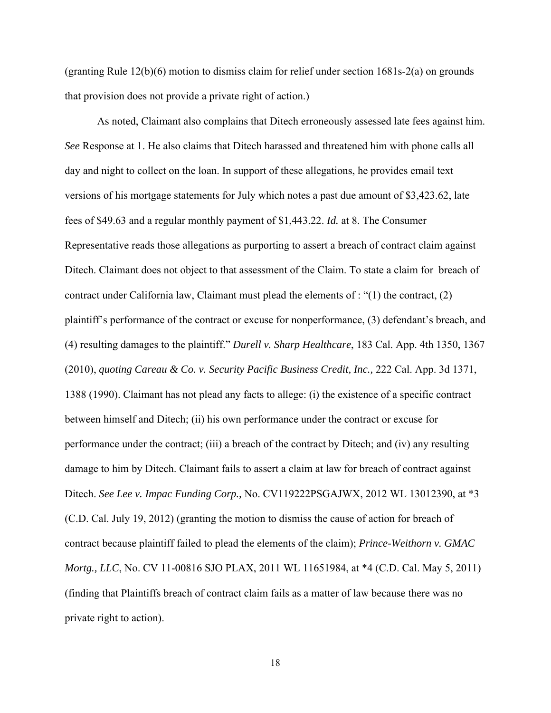(granting Rule 12(b)(6) motion to dismiss claim for relief under section 1681s-2(a) on grounds that provision does not provide a private right of action.)

 As noted, Claimant also complains that Ditech erroneously assessed late fees against him. *See* Response at 1. He also claims that Ditech harassed and threatened him with phone calls all day and night to collect on the loan. In support of these allegations, he provides email text versions of his mortgage statements for July which notes a past due amount of \$3,423.62, late fees of \$49.63 and a regular monthly payment of \$1,443.22. *Id.* at 8. The Consumer Representative reads those allegations as purporting to assert a breach of contract claim against Ditech. Claimant does not object to that assessment of the Claim. To state a claim for breach of contract under California law, Claimant must plead the elements of : " $(1)$  the contract,  $(2)$ plaintiff's performance of the contract or excuse for nonperformance, (3) defendant's breach, and (4) resulting damages to the plaintiff." *Durell v. Sharp Healthcare*, 183 Cal. App. 4th 1350, 1367 (2010), *quoting Careau & Co. v. Security Pacific Business Credit, Inc.,* 222 Cal. App. 3d 1371, 1388 (1990). Claimant has not plead any facts to allege: (i) the existence of a specific contract between himself and Ditech; (ii) his own performance under the contract or excuse for performance under the contract; (iii) a breach of the contract by Ditech; and (iv) any resulting damage to him by Ditech. Claimant fails to assert a claim at law for breach of contract against Ditech. *See Lee v. Impac Funding Corp.,* No. CV119222PSGAJWX, 2012 WL 13012390, at \*3 (C.D. Cal. July 19, 2012) (granting the motion to dismiss the cause of action for breach of contract because plaintiff failed to plead the elements of the claim); *Prince-Weithorn v. GMAC Mortg., LLC*, No. CV 11-00816 SJO PLAX, 2011 WL 11651984, at \*4 (C.D. Cal. May 5, 2011) (finding that Plaintiffs breach of contract claim fails as a matter of law because there was no private right to action).